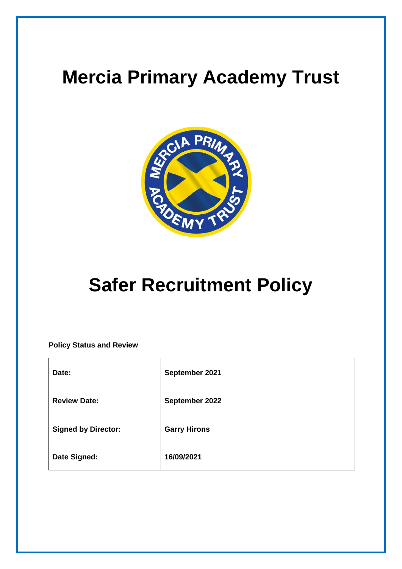# **Mercia Primary Academy Trust**



# **Safer Recruitment Policy**

**Policy Status and Review**

| Date:                      | September 2021      |
|----------------------------|---------------------|
| <b>Review Date:</b>        | September 2022      |
| <b>Signed by Director:</b> | <b>Garry Hirons</b> |
| Date Signed:               | 16/09/2021          |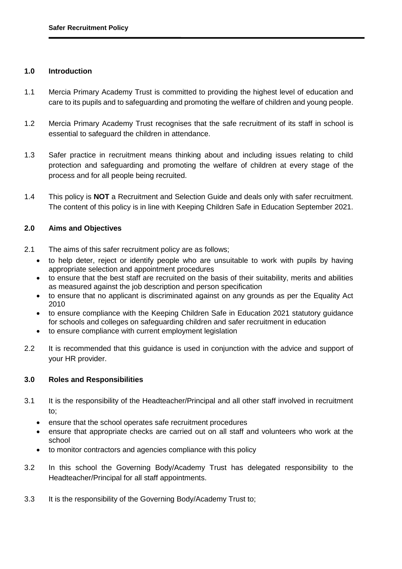# **1.0 Introduction**

- 1.1 Mercia Primary Academy Trust is committed to providing the highest level of education and care to its pupils and to safeguarding and promoting the welfare of children and young people.
- 1.2 Mercia Primary Academy Trust recognises that the safe recruitment of its staff in school is essential to safeguard the children in attendance.
- 1.3 Safer practice in recruitment means thinking about and including issues relating to child protection and safeguarding and promoting the welfare of children at every stage of the process and for all people being recruited.
- 1.4 This policy is **NOT** a Recruitment and Selection Guide and deals only with safer recruitment. The content of this policy is in line with Keeping Children Safe in Education September 2021.

# **2.0 Aims and Objectives**

- 2.1 The aims of this safer recruitment policy are as follows;
	- to help deter, reject or identify people who are unsuitable to work with pupils by having appropriate selection and appointment procedures
	- to ensure that the best staff are recruited on the basis of their suitability, merits and abilities as measured against the job description and person specification
	- to ensure that no applicant is discriminated against on any grounds as per the Equality Act 2010
	- to ensure compliance with the Keeping Children Safe in Education 2021 statutory guidance for schools and colleges on safeguarding children and safer recruitment in education
	- to ensure compliance with current employment legislation
- 2.2 It is recommended that this guidance is used in conjunction with the advice and support of your HR provider.

# **3.0 Roles and Responsibilities**

- 3.1 It is the responsibility of the Headteacher/Principal and all other staff involved in recruitment to;
	- ensure that the school operates safe recruitment procedures
	- ensure that appropriate checks are carried out on all staff and volunteers who work at the school
	- to monitor contractors and agencies compliance with this policy
- 3.2 In this school the Governing Body/Academy Trust has delegated responsibility to the Headteacher/Principal for all staff appointments.
- 3.3 It is the responsibility of the Governing Body/Academy Trust to;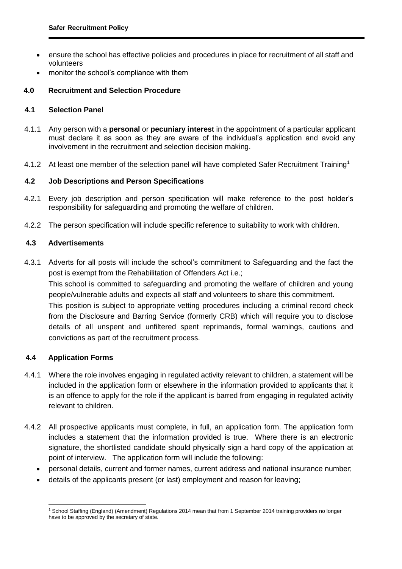- ensure the school has effective policies and procedures in place for recruitment of all staff and volunteers
- monitor the school's compliance with them

# **4.0 Recruitment and Selection Procedure**

# **4.1 Selection Panel**

- 4.1.1 Any person with a **personal** or **pecuniary interest** in the appointment of a particular applicant must declare it as soon as they are aware of the individual's application and avoid any involvement in the recruitment and selection decision making.
- 4.1.2 At least one member of the selection panel will have completed Safer Recruitment Training<sup>1</sup>

# **4.2 Job Descriptions and Person Specifications**

- 4.2.1 Every job description and person specification will make reference to the post holder's responsibility for safeguarding and promoting the welfare of children.
- 4.2.2 The person specification will include specific reference to suitability to work with children.

# **4.3 Advertisements**

4.3.1 Adverts for all posts will include the school's commitment to Safeguarding and the fact the post is exempt from the Rehabilitation of Offenders Act i.e.; This school is committed to safeguarding and promoting the welfare of children and young people/vulnerable adults and expects all staff and volunteers to share this commitment. This position is subject to appropriate vetting procedures including a criminal record check from the Disclosure and Barring Service (formerly CRB) which will require you to disclose details of all unspent and unfiltered spent reprimands, formal warnings, cautions and convictions as part of the recruitment process.

# **4.4 Application Forms**

- 4.4.1 Where the role involves engaging in regulated activity relevant to children, a statement will be included in the application form or elsewhere in the information provided to applicants that it is an offence to apply for the role if the applicant is barred from engaging in regulated activity relevant to children.
- 4.4.2 All prospective applicants must complete, in full, an application form. The application form includes a statement that the information provided is true. Where there is an electronic signature, the shortlisted candidate should physically sign a hard copy of the application at point of interview. The application form will include the following:
	- personal details, current and former names, current address and national insurance number;
	- details of the applicants present (or last) employment and reason for leaving;

<sup>-</sup><sup>1</sup> School Staffing (England) (Amendment) Regulations 2014 mean that from 1 September 2014 training providers no longer have to be approved by the secretary of state.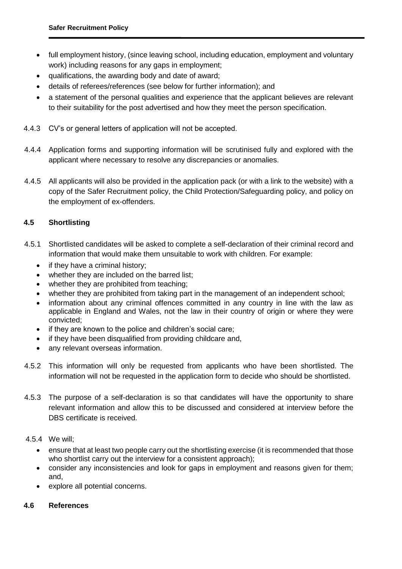- full employment history, (since leaving school, including education, employment and voluntary work) including reasons for any gaps in employment;
- qualifications, the awarding body and date of award;
- details of referees/references (see below for further information); and
- a statement of the personal qualities and experience that the applicant believes are relevant to their suitability for the post advertised and how they meet the person specification.
- 4.4.3 CV's or general letters of application will not be accepted.
- 4.4.4 Application forms and supporting information will be scrutinised fully and explored with the applicant where necessary to resolve any discrepancies or anomalies.
- 4.4.5 All applicants will also be provided in the application pack (or with a link to the website) with a copy of the Safer Recruitment policy, the Child Protection/Safeguarding policy, and policy on the employment of ex-offenders.

# **4.5 Shortlisting**

- 4.5.1 Shortlisted candidates will be asked to complete a self-declaration of their criminal record and information that would make them unsuitable to work with children. For example:
	- if they have a criminal history;
	- whether they are included on the barred list:
	- whether they are prohibited from teaching;
	- whether they are prohibited from taking part in the management of an independent school:
	- information about any criminal offences committed in any country in line with the law as applicable in England and Wales, not the law in their country of origin or where they were convicted;
	- if they are known to the police and children's social care;
	- if they have been disqualified from providing childcare and,
	- any relevant overseas information.
- 4.5.2 This information will only be requested from applicants who have been shortlisted. The information will not be requested in the application form to decide who should be shortlisted.
- 4.5.3 The purpose of a self-declaration is so that candidates will have the opportunity to share relevant information and allow this to be discussed and considered at interview before the DBS certificate is received.

# 4.5.4 We will;

- ensure that at least two people carry out the shortlisting exercise (it is recommended that those who shortlist carry out the interview for a consistent approach);
- consider any inconsistencies and look for gaps in employment and reasons given for them; and,
- explore all potential concerns.

# **4.6 References**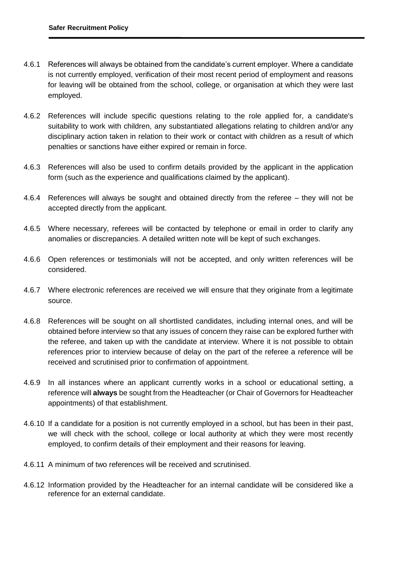- 4.6.1 References will always be obtained from the candidate's current employer. Where a candidate is not currently employed, verification of their most recent period of employment and reasons for leaving will be obtained from the school, college, or organisation at which they were last employed.
- 4.6.2 References will include specific questions relating to the role applied for, a candidate's suitability to work with children, any substantiated allegations relating to children and/or any disciplinary action taken in relation to their work or contact with children as a result of which penalties or sanctions have either expired or remain in force.
- 4.6.3 References will also be used to confirm details provided by the applicant in the application form (such as the experience and qualifications claimed by the applicant).
- 4.6.4 References will always be sought and obtained directly from the referee they will not be accepted directly from the applicant.
- 4.6.5 Where necessary, referees will be contacted by telephone or email in order to clarify any anomalies or discrepancies. A detailed written note will be kept of such exchanges.
- 4.6.6 Open references or testimonials will not be accepted, and only written references will be considered.
- 4.6.7 Where electronic references are received we will ensure that they originate from a legitimate source.
- 4.6.8 References will be sought on all shortlisted candidates, including internal ones, and will be obtained before interview so that any issues of concern they raise can be explored further with the referee, and taken up with the candidate at interview. Where it is not possible to obtain references prior to interview because of delay on the part of the referee a reference will be received and scrutinised prior to confirmation of appointment.
- 4.6.9 In all instances where an applicant currently works in a school or educational setting, a reference will **always** be sought from the Headteacher (or Chair of Governors for Headteacher appointments) of that establishment.
- 4.6.10 If a candidate for a position is not currently employed in a school, but has been in their past, we will check with the school, college or local authority at which they were most recently employed, to confirm details of their employment and their reasons for leaving.
- 4.6.11 A minimum of two references will be received and scrutinised.
- 4.6.12 Information provided by the Headteacher for an internal candidate will be considered like a reference for an external candidate.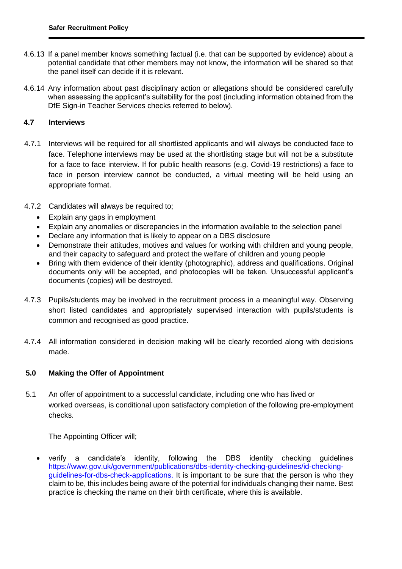- 4.6.13 If a panel member knows something factual (i.e. that can be supported by evidence) about a potential candidate that other members may not know, the information will be shared so that the panel itself can decide if it is relevant.
- 4.6.14 Any information about past disciplinary action or allegations should be considered carefully when assessing the applicant's suitability for the post (including information obtained from the DfE Sign-in Teacher Services checks referred to below).

# **4.7 Interviews**

- 4.7.1 Interviews will be required for all shortlisted applicants and will always be conducted face to face. Telephone interviews may be used at the shortlisting stage but will not be a substitute for a face to face interview. If for public health reasons (e.g. Covid-19 restrictions) a face to face in person interview cannot be conducted, a virtual meeting will be held using an appropriate format.
- 4.7.2 Candidates will always be required to;
	- Explain any gaps in employment
	- Explain any anomalies or discrepancies in the information available to the selection panel
	- Declare any information that is likely to appear on a DBS disclosure
	- Demonstrate their attitudes, motives and values for working with children and young people, and their capacity to safeguard and protect the welfare of children and young people
	- Bring with them evidence of their identity (photographic), address and qualifications. Original documents only will be accepted, and photocopies will be taken. Unsuccessful applicant's documents (copies) will be destroyed.
- 4.7.3 Pupils/students may be involved in the recruitment process in a meaningful way. Observing short listed candidates and appropriately supervised interaction with pupils/students is common and recognised as good practice.
- 4.7.4 All information considered in decision making will be clearly recorded along with decisions made.

# **5.0 Making the Offer of Appointment**

5.1 An offer of appointment to a successful candidate, including one who has lived or worked overseas, is conditional upon satisfactory completion of the following pre-employment checks.

The Appointing Officer will;

 verify a candidate's identity, following the DBS identity checking guidelines [https://www.gov.uk/government/publications/dbs-identity-checking-guidelines/id-checking](https://www.gov.uk/government/publications/dbs-identity-checking-guidelines/id-checking-guidelines-for-dbs-check-applications)[guidelines-for-dbs-check-applications.](https://www.gov.uk/government/publications/dbs-identity-checking-guidelines/id-checking-guidelines-for-dbs-check-applications) It is important to be sure that the person is who they claim to be, this includes being aware of the potential for individuals changing their name. Best practice is checking the name on their birth certificate, where this is available.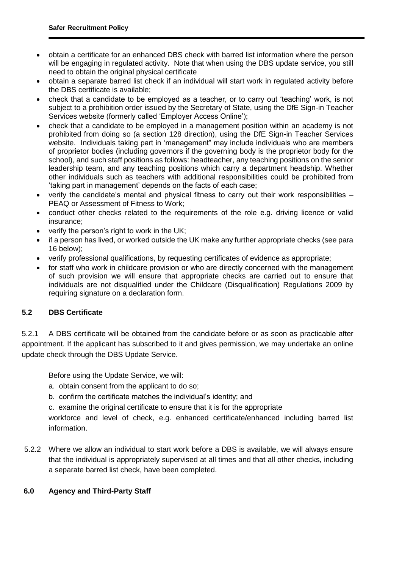- obtain a certificate for an enhanced DBS check with barred list information where the person will be engaging in regulated activity. Note that when using the DBS update service, you still need to obtain the original physical certificate
- obtain a separate barred list check if an individual will start work in regulated activity before the DBS certificate is available;
- check that a candidate to be employed as a teacher, or to carry out 'teaching' work, is not subject to a prohibition order issued by the Secretary of State, using the DfE Sign-in Teacher Services website (formerly called 'Employer Access Online');
- check that a candidate to be employed in a management position within an academy is not prohibited from doing so (a section 128 direction), using the DfE Sign-in Teacher Services website. Individuals taking part in 'management" may include individuals who are members of proprietor bodies (including governors if the governing body is the proprietor body for the school), and such staff positions as follows: headteacher, any teaching positions on the senior leadership team, and any teaching positions which carry a department headship. Whether other individuals such as teachers with additional responsibilities could be prohibited from 'taking part in management' depends on the facts of each case;
- verify the candidate's mental and physical fitness to carry out their work responsibilities PEAQ or Assessment of Fitness to Work;
- conduct other checks related to the requirements of the role e.g. driving licence or valid insurance;
- verify the person's right to work in the UK;
- if a person has lived, or worked outside the UK make any further appropriate checks (see para 16 below);
- verify professional qualifications, by requesting certificates of evidence as appropriate;
- for staff who work in childcare provision or who are directly concerned with the management of such provision we will ensure that appropriate checks are carried out to ensure that individuals are not disqualified under the Childcare (Disqualification) Regulations 2009 by requiring signature on a declaration form.

# **5.2 DBS Certificate**

5.2.1 A DBS certificate will be obtained from the candidate before or as soon as practicable after appointment. If the applicant has subscribed to it and gives permission, we may undertake an online update check through the DBS Update Service.

Before using the Update Service, we will:

- a. obtain consent from the applicant to do so;
- b. confirm the certificate matches the individual's identity; and
- c. examine the original certificate to ensure that it is for the appropriate

workforce and level of check, e.g. enhanced certificate/enhanced including barred list information.

5.2.2 Where we allow an individual to start work before a DBS is available, we will always ensure that the individual is appropriately supervised at all times and that all other checks, including a separate barred list check, have been completed.

# **6.0 Agency and Third-Party Staff**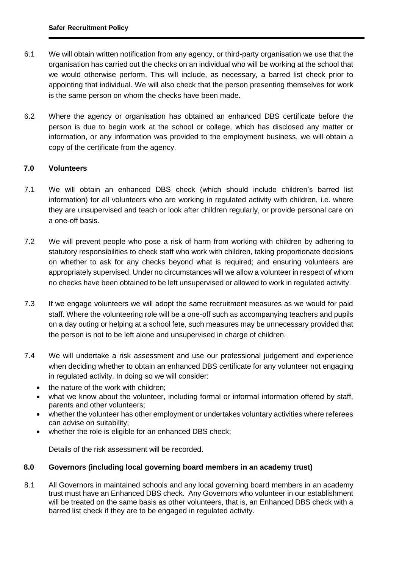- 6.1 We will obtain written notification from any agency, or third-party organisation we use that the organisation has carried out the checks on an individual who will be working at the school that we would otherwise perform. This will include, as necessary, a barred list check prior to appointing that individual. We will also check that the person presenting themselves for work is the same person on whom the checks have been made.
- 6.2 Where the agency or organisation has obtained an enhanced DBS certificate before the person is due to begin work at the school or college, which has disclosed any matter or information, or any information was provided to the employment business, we will obtain a copy of the certificate from the agency.

# **7.0 Volunteers**

- 7.1 We will obtain an enhanced DBS check (which should include children's barred list information) for all volunteers who are working in regulated activity with children, i.e. where they are unsupervised and teach or look after children regularly, or provide personal care on a one-off basis.
- 7.2 We will prevent people who pose a risk of harm from working with children by adhering to statutory responsibilities to check staff who work with children, taking proportionate decisions on whether to ask for any checks beyond what is required; and ensuring volunteers are appropriately supervised. Under no circumstances will we allow a volunteer in respect of whom no checks have been obtained to be left unsupervised or allowed to work in regulated activity.
- 7.3 If we engage volunteers we will adopt the same recruitment measures as we would for paid staff. Where the volunteering role will be a one-off such as accompanying teachers and pupils on a day outing or helping at a school fete, such measures may be unnecessary provided that the person is not to be left alone and unsupervised in charge of children.
- 7.4 We will undertake a risk assessment and use our professional judgement and experience when deciding whether to obtain an enhanced DBS certificate for any volunteer not engaging in regulated activity. In doing so we will consider:
	- the nature of the work with children;
	- what we know about the volunteer, including formal or informal information offered by staff, parents and other volunteers;
	- whether the volunteer has other employment or undertakes voluntary activities where referees can advise on suitability;
	- whether the role is eligible for an enhanced DBS check;

Details of the risk assessment will be recorded.

# **8.0 Governors (including local governing board members in an academy trust)**

8.1 All Governors in maintained schools and any local governing board members in an academy trust must have an Enhanced DBS check. Any Governors who volunteer in our establishment will be treated on the same basis as other volunteers, that is, an Enhanced DBS check with a barred list check if they are to be engaged in regulated activity.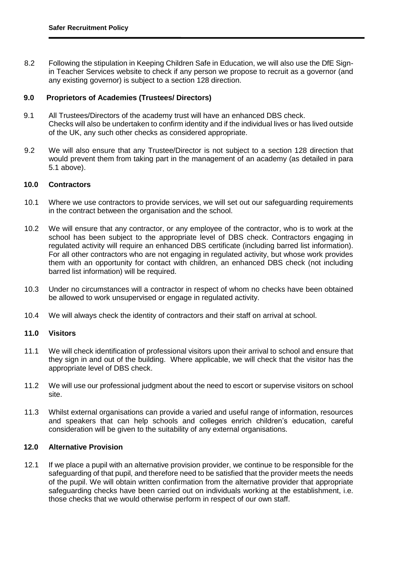8.2 Following the stipulation in Keeping Children Safe in Education, we will also use the DfE Signin Teacher Services website to check if any person we propose to recruit as a governor (and any existing governor) is subject to a section 128 direction.

#### **9.0 Proprietors of Academies (Trustees/ Directors)**

- 9.1 All Trustees/Directors of the academy trust will have an enhanced DBS check. Checks will also be undertaken to confirm identity and if the individual lives or has lived outside of the UK, any such other checks as considered appropriate.
- 9.2 We will also ensure that any Trustee/Director is not subject to a section 128 direction that would prevent them from taking part in the management of an academy (as detailed in para 5.1 above).

#### **10.0 Contractors**

- 10.1 Where we use contractors to provide services, we will set out our safeguarding requirements in the contract between the organisation and the school.
- 10.2 We will ensure that any contractor, or any employee of the contractor, who is to work at the school has been subject to the appropriate level of DBS check. Contractors engaging in regulated activity will require an enhanced DBS certificate (including barred list information). For all other contractors who are not engaging in regulated activity, but whose work provides them with an opportunity for contact with children, an enhanced DBS check (not including barred list information) will be required.
- 10.3 Under no circumstances will a contractor in respect of whom no checks have been obtained be allowed to work unsupervised or engage in regulated activity.
- 10.4 We will always check the identity of contractors and their staff on arrival at school.

#### **11.0 Visitors**

- 11.1 We will check identification of professional visitors upon their arrival to school and ensure that they sign in and out of the building. Where applicable, we will check that the visitor has the appropriate level of DBS check.
- 11.2 We will use our professional judgment about the need to escort or supervise visitors on school site.
- 11.3 Whilst external organisations can provide a varied and useful range of information, resources and speakers that can help schools and colleges enrich children's education, careful consideration will be given to the suitability of any external organisations.

# **12.0 Alternative Provision**

12.1 If we place a pupil with an alternative provision provider, we continue to be responsible for the safeguarding of that pupil, and therefore need to be satisfied that the provider meets the needs of the pupil. We will obtain written confirmation from the alternative provider that appropriate safeguarding checks have been carried out on individuals working at the establishment, i.e. those checks that we would otherwise perform in respect of our own staff.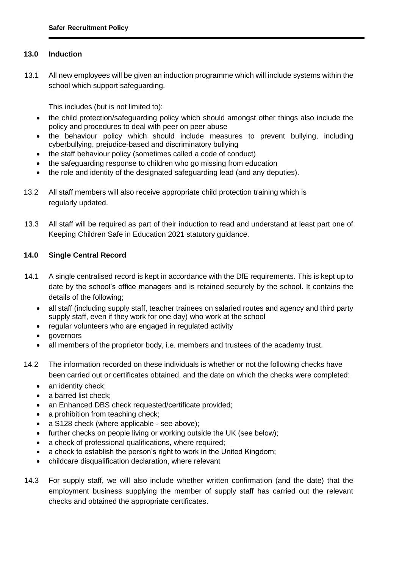# **13.0 Induction**

13.1 All new employees will be given an induction programme which will include systems within the school which support safeguarding.

This includes (but is not limited to):

- the child protection/safeguarding policy which should amongst other things also include the policy and procedures to deal with peer on peer abuse
- the behaviour policy which should include measures to prevent bullying, including cyberbullying, prejudice-based and discriminatory bullying
- the staff behaviour policy (sometimes called a code of conduct)
- the safeguarding response to children who go missing from education
- the role and identity of the designated safeguarding lead (and any deputies).
- 13.2 All staff members will also receive appropriate child protection training which is regularly updated.
- 13.3 All staff will be required as part of their induction to read and understand at least part one of Keeping Children Safe in Education 2021 statutory guidance.

# **14.0 Single Central Record**

- 14.1 A single centralised record is kept in accordance with the DfE requirements. This is kept up to date by the school's office managers and is retained securely by the school. It contains the details of the following;
	- all staff (including supply staff, teacher trainees on salaried routes and agency and third party supply staff, even if they work for one day) who work at the school
	- regular volunteers who are engaged in regulated activity
	- governors
	- all members of the proprietor body, i.e. members and trustees of the academy trust.
- 14.2 The information recorded on these individuals is whether or not the following checks have been carried out or certificates obtained, and the date on which the checks were completed:
	- an identity check;
	- a barred list check;
	- an Enhanced DBS check requested/certificate provided;
	- a prohibition from teaching check;
	- a S128 check (where applicable see above);
	- further checks on people living or working outside the UK (see below);
	- a check of professional qualifications, where required;
	- a check to establish the person's right to work in the United Kingdom;
	- childcare disqualification declaration, where relevant
- 14.3 For supply staff, we will also include whether written confirmation (and the date) that the employment business supplying the member of supply staff has carried out the relevant checks and obtained the appropriate certificates.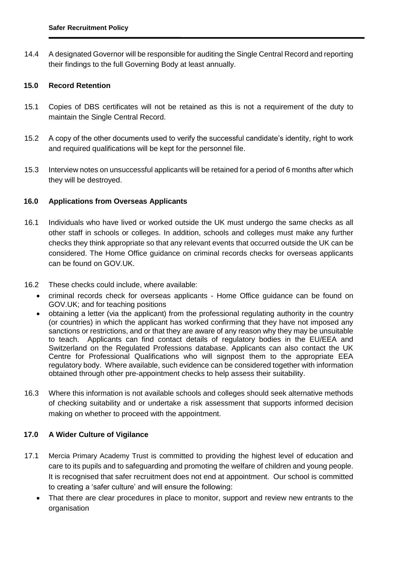14.4 A designated Governor will be responsible for auditing the Single Central Record and reporting their findings to the full Governing Body at least annually.

# **15.0 Record Retention**

- 15.1 Copies of DBS certificates will not be retained as this is not a requirement of the duty to maintain the Single Central Record.
- 15.2 A copy of the other documents used to verify the successful candidate's identity, right to work and required qualifications will be kept for the personnel file.
- 15.3 Interview notes on unsuccessful applicants will be retained for a period of 6 months after which they will be destroyed.

# **16.0 Applications from Overseas Applicants**

- 16.1 Individuals who have lived or worked outside the UK must undergo the same checks as all other staff in schools or colleges. In addition, schools and colleges must make any further checks they think appropriate so that any relevant events that occurred outside the UK can be considered. The Home Office guidance on criminal records checks for overseas applicants can be found on GOV.UK.
- 16.2 These checks could include, where available:
	- criminal records check for overseas applicants Home Office guidance can be found on GOV.UK; and for teaching positions
	- obtaining a letter (via the applicant) from the professional regulating authority in the country (or countries) in which the applicant has worked confirming that they have not imposed any sanctions or restrictions, and or that they are aware of any reason why they may be unsuitable to teach. Applicants can find contact details of regulatory bodies in the EU/EEA and Switzerland on the Regulated Professions database. Applicants can also contact the UK Centre for Professional Qualifications who will signpost them to the appropriate EEA regulatory body. Where available, such evidence can be considered together with information obtained through other pre-appointment checks to help assess their suitability.
- 16.3 Where this information is not available schools and colleges should seek alternative methods of checking suitability and or undertake a risk assessment that supports informed decision making on whether to proceed with the appointment.

# **17.0 A Wider Culture of Vigilance**

- 17.1 Mercia Primary Academy Trust is committed to providing the highest level of education and care to its pupils and to safeguarding and promoting the welfare of children and young people. It is recognised that safer recruitment does not end at appointment. Our school is committed to creating a 'safer culture' and will ensure the following:
	- That there are clear procedures in place to monitor, support and review new entrants to the organisation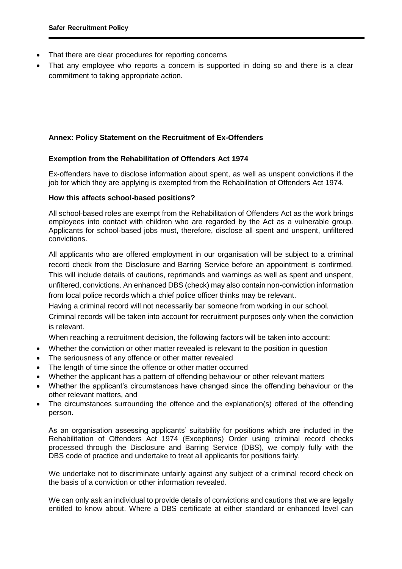- That there are clear procedures for reporting concerns
- That any employee who reports a concern is supported in doing so and there is a clear commitment to taking appropriate action.

# **Annex: Policy Statement on the Recruitment of Ex-Offenders**

# **Exemption from the Rehabilitation of Offenders Act 1974**

Ex-offenders have to disclose information about spent, as well as unspent convictions if the job for which they are applying is exempted from the Rehabilitation of Offenders Act 1974.

#### **How this affects school-based positions?**

All school-based roles are exempt from the Rehabilitation of Offenders Act as the work brings employees into contact with children who are regarded by the Act as a vulnerable group. Applicants for school-based jobs must, therefore, disclose all spent and unspent, unfiltered convictions.

All applicants who are offered employment in our organisation will be subject to a criminal record check from the Disclosure and Barring Service before an appointment is confirmed. This will include details of cautions, reprimands and warnings as well as spent and unspent, unfiltered, convictions. An enhanced DBS (check) may also contain non-conviction information from local police records which a chief police officer thinks may be relevant.

Having a criminal record will not necessarily bar someone from working in our school.

Criminal records will be taken into account for recruitment purposes only when the conviction is relevant.

When reaching a recruitment decision, the following factors will be taken into account:

- Whether the conviction or other matter revealed is relevant to the position in question
- The seriousness of any offence or other matter revealed
- The length of time since the offence or other matter occurred
- Whether the applicant has a pattern of offending behaviour or other relevant matters
- Whether the applicant's circumstances have changed since the offending behaviour or the other relevant matters, and
- The circumstances surrounding the offence and the explanation(s) offered of the offending person.

As an organisation assessing applicants' suitability for positions which are included in the Rehabilitation of Offenders Act 1974 (Exceptions) Order using criminal record checks processed through the Disclosure and Barring Service (DBS), we comply fully with the DBS code of [practice](https://www.gov.uk/government/publications/dbs-code-of-practice) and undertake to treat all applicants for positions fairly.

We undertake not to discriminate unfairly against any subject of a criminal record check on the basis of a conviction or other information revealed.

We can only ask an individual to provide details of convictions and cautions that we are legally entitled to know about. Where a DBS certificate at either standard or enhanced level can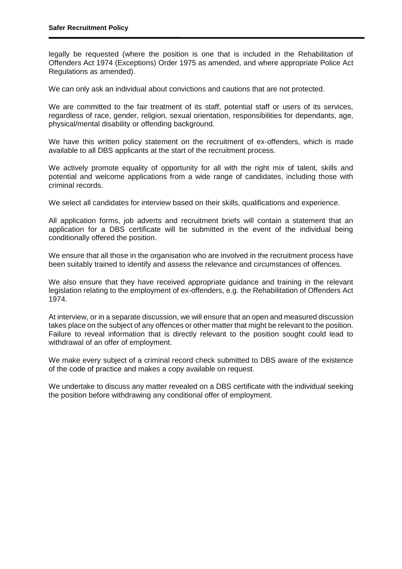legally be requested (where the position is one that is included in the Rehabilitation of Offenders Act 1974 (Exceptions) Order 1975 as amended, and where appropriate Police Act Regulations as amended).

We can only ask an individual about convictions and cautions that are not protected.

We are committed to the fair treatment of its staff, potential staff or users of its services, regardless of race, gender, religion, sexual orientation, responsibilities for dependants, age, physical/mental disability or offending background.

We have this written policy statement on the recruitment of ex-offenders, which is made available to all DBS applicants at the start of the recruitment process.

We actively promote equality of opportunity for all with the right mix of talent, skills and potential and welcome applications from a wide range of candidates, including those with criminal records.

We select all candidates for interview based on their skills, qualifications and experience.

All application forms, job adverts and recruitment briefs will contain a statement that an application for a DBS certificate will be submitted in the event of the individual being conditionally offered the position.

We ensure that all those in the organisation who are involved in the recruitment process have been suitably trained to identify and assess the relevance and circumstances of offences.

We also ensure that they have received appropriate guidance and training in the relevant legislation relating to the employment of ex-offenders, e.g. the Rehabilitation of Offenders Act 1974.

At interview, or in a separate discussion, we will ensure that an open and measured discussion takes place on the subject of any offences or other matter that might be relevant to the position. Failure to reveal information that is directly relevant to the position sought could lead to withdrawal of an offer of employment.

We make every subject of a criminal record check submitted to DBS aware of the existence of the code of [practice](https://www.gov.uk/government/publications/dbs-code-of-practice) and makes a copy available on request.

We undertake to discuss any matter revealed on a DBS certificate with the individual seeking the position before withdrawing any conditional offer of employment.